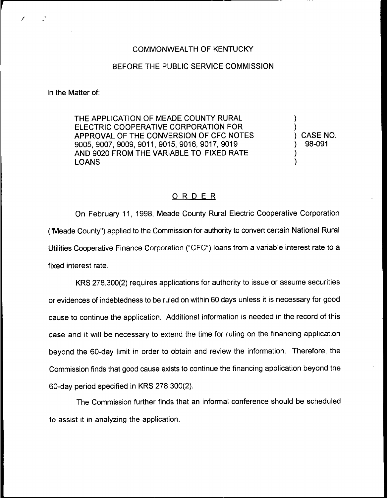## BEFORE THE PUBLIC SERVICE COMMISSION

In the Matter of:

Ŷ.

THE APPLICATION OF MEADE COUNTY RURAL ELECTRIC COOPERATIVE CORPORATION FOR APPROVAL OF THE CONVERSION OF CFC NOTES 9005, 9007, 9009, 9011, 9015, 9016, 9017, 9019 AND 9020 FROM THE VARIABLE TO FIXED RATE LOANS

) CASE NO. ) 98-091

) )

) )

## ORDER

On February 11, 1998, Meade County Rural Electric Cooperative Corporation ("Meade County") applied to the Commission for authority to convert certain National Rural Utilities Cooperative Finance Corporation ("CFC")loans from a variable interest rate to a fixed interest rate.

KRS 278.300(2) requires applications for authority to issue or assume securities or evidences of indebtedness to be ruled on within 60 days unless it is necessary for good cause to continue the application. Additional information is needed in the record of this case and it will be necessary to extend the time for ruling on the financing application beyond the 60-day limit in order to obtain and review the information. Therefore, the Commission finds that good cause exists to continue the financing application beyond the 60-day period specified in KRS 278.300(2).

The Commission further finds that an informal conference should be scheduled to assist it in analyzing the application.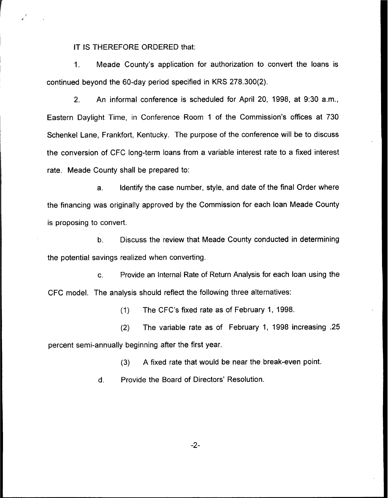IT IS THEREFORE ORDERED that:

Meade County's application for authorization to convert the loans is  $1<sub>1</sub>$ continued beyond the 60-day period specified in KRS 278.300(2).

2. An informal conference is scheduled for April 20, 1998, at 9:30 a.m., Eastern Daylight Time, in Conference Room <sup>1</sup> of the Commission's offices at 730 Schenkel Lane, Frankfort, Kentucky. The purpose of the conference will be to discuss the conversion of CFC long-term loans from a variable interest rate to a fixed interest rate. Meade County shall be prepared to:

a. Identify the case number, style, and date of the final Order where the financing was originally approved by the Commission for each loan Meade County is proposing to convert.

b. Discuss the review that Meade County conducted in determining the potential savings realized when converting.

c. Provide an Internal Rate of Return Analysis for each loan using the CFC model. The analysis should reflect the following three alternatives:

(1) The CFC's fixed rate as of February 1, 1998.

(2) The variable rate as of February 1, 1998 increasing .25 percent semi-annually beginning after the first year.

(3) <sup>A</sup> fixed rate that would be near the break-even point.

d. Provide the Board of Directors' Resolution.

 $-2-$